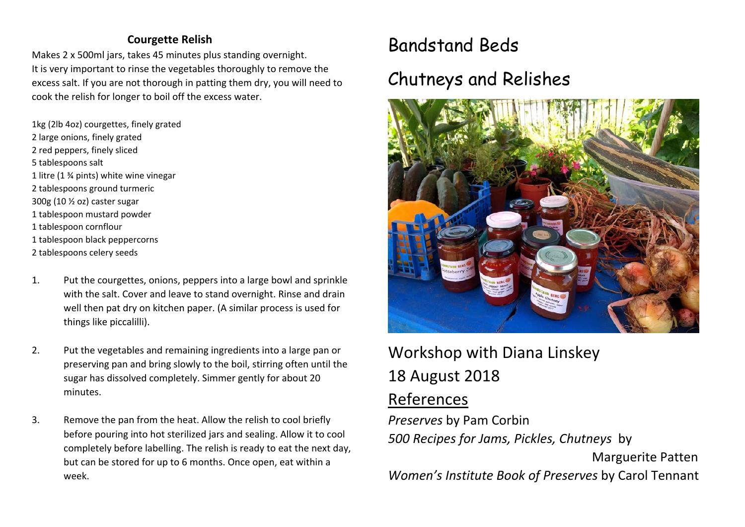### **Courgette Relish**

Makes 2 x 500ml jars, takes 45 minutes plus standing overnight. It is very important to rinse the vegetables thoroughly to remove the excess salt. If you are not thorough in patting them dry, you will need to cook the relish for longer to boil off the excess water.

1kg (2lb 4oz) courgettes, finely grated 2 large onions, finely grated 2 red peppers, finely sliced 5 tablespoons salt 1 litre (1 ¾ pints) white wine vinegar 2 tablespoons ground turmeric 300g (10 ½ oz) caster sugar 1 tablespoon mustard powder 1 tablespoon cornflour 1 tablespoon black peppercorns 2 tablespoons celery seeds

- 1. Put the courgettes, onions, peppers into a large bowl and sprinkle with the salt. Cover and leave to stand overnight. Rinse and drain well then pat dry on kitchen paper. (A similar process is used for things like piccalilli).
- 2. Put the vegetables and remaining ingredients into a large pan or preserving pan and bring slowly to the boil, stirring often until the sugar has dissolved completely. Simmer gently for about 20 minutes.
- 3. Remove the pan from the heat. Allow the relish to cool briefly before pouring into hot sterilized jars and sealing. Allow it to cool completely before labelling. The relish is ready to eat the next day, but can be stored for up to 6 months. Once open, eat within a week.

# Bandstand Beds

## Chutneys and Relishes



## Workshop with Diana Linskey 18 August 2018 References

*Preserves* by Pam Corbin *500 Recipes for Jams, Pickles, Chutneys* by Marguerite Patten *Women's Institute Book of Preserves* by Carol Tennant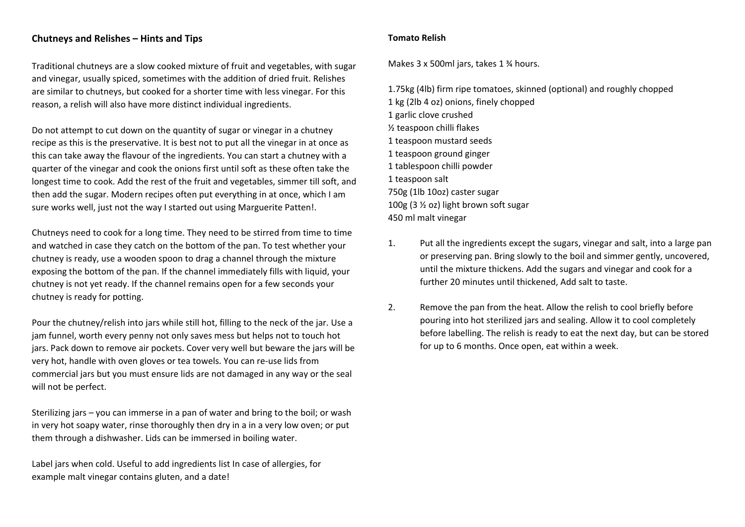#### **Chutneys and Relishes – Hints and Tips**

Traditional chutneys are a slow cooked mixture of fruit and vegetables, with sugar and vinegar, usually spiced, sometimes with the addition of dried fruit. Relishes are similar to chutneys, but cooked for a shorter time with less vinegar. For this reason, a relish will also have more distinct individual ingredients.

Do not attempt to cut down on the quantity of sugar or vinegar in a chutney recipe as this is the preservative. It is best not to put all the vinegar in at once as this can take away the flavour of the ingredients. You can start a chutney with a quarter of the vinegar and cook the onions first until soft as these often take the longest time to cook. Add the rest of the fruit and vegetables, simmer till soft, and then add the sugar. Modern recipes often put everything in at once, which I am sure works well, just not the way I started out using Marguerite Patten!.

Chutneys need to cook for a long time. They need to be stirred from time to time and watched in case they catch on the bottom of the pan. To test whether your chutney is ready, use a wooden spoon to drag a channel through the mixture exposing the bottom of the pan. If the channel immediately fills with liquid, your chutney is not yet ready. If the channel remains open for a few seconds your chutney is ready for potting.

Pour the chutney/relish into jars while still hot, filling to the neck of the jar. Use a jam funnel, worth every penny not only saves mess but helps not to touch hot jars. Pack down to remove air pockets. Cover very well but beware the jars will be very hot, handle with oven gloves or tea towels. You can re‐use lids from commercial jars but you must ensure lids are not damaged in any way or the seal will not be perfect.

Sterilizing jars – you can immerse in a pan of water and bring to the boil; or wash in very hot soapy water, rinse thoroughly then dry in a in a very low oven; or put them through a dishwasher. Lids can be immersed in boiling water.

Label jars when cold. Useful to add ingredients list In case of allergies, for example malt vinegar contains gluten, and a date!

#### **Tomato Relish**

Makes 3 x 500ml jars, takes 1 ¾ hours.

1.75kg (4lb) firm ripe tomatoes, skinned (optional) and roughly chopped 1 kg (2lb 4 oz) onions, finely chopped 1 garlic clove crushed ½ teaspoon chilli flakes 1 teaspoon mustard seeds 1 teaspoon ground ginger 1 tablespoon chilli powder 1 teaspoon salt 750g (1lb 10oz) caster sugar 100g (3 ½ oz) light brown soft sugar 450 ml malt vinegar

- 1. Put all the ingredients except the sugars, vinegar and salt, into a large pan or preserving pan. Bring slowly to the boil and simmer gently, uncovered, until the mixture thickens. Add the sugars and vinegar and cook for a further 20 minutes until thickened, Add salt to taste.
- 2. Remove the pan from the heat. Allow the relish to cool briefly before pouring into hot sterilized jars and sealing. Allow it to cool completely before labelling. The relish is ready to eat the next day, but can be stored for up to 6 months. Once open, eat within a week.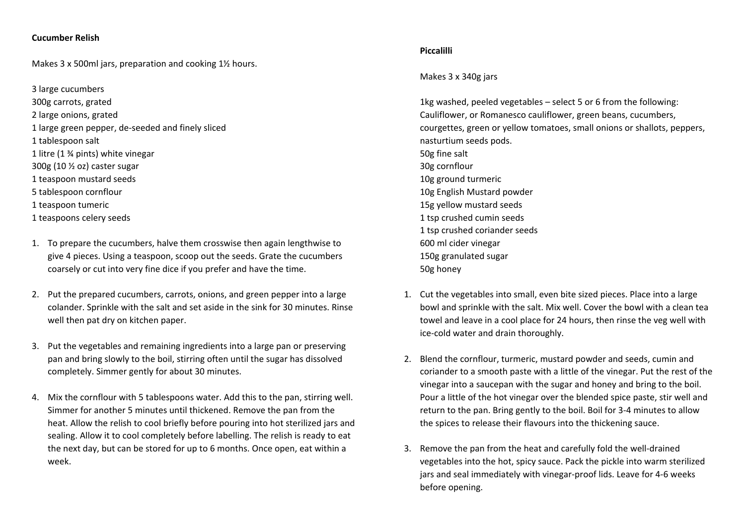#### **Cucumber Relish**

Makes 3 x 500ml jars, preparation and cooking 1½ hours.

3 large cucumbers 300g carrots, grated 2 large onions, grated 1 large green pepper, de‐seeded and finely sliced 1 tablespoon salt 1 litre (1 ¾ pints) white vinegar 300g (10 ½ oz) caster sugar 1 teaspoon mustard seeds 5 tablespoon cornflour 1 teaspoon tumeric 1 teaspoons celery seeds

- 1. To prepare the cucumbers, halve them crosswise then again lengthwise to give 4 pieces. Using a teaspoon, scoop out the seeds. Grate the cucumbers coarsely or cut into very fine dice if you prefer and have the time.
- 2. Put the prepared cucumbers, carrots, onions, and green pepper into a large colander. Sprinkle with the salt and set aside in the sink for 30 minutes. Rinse well then pat dry on kitchen paper.
- 3. Put the vegetables and remaining ingredients into a large pan or preserving pan and bring slowly to the boil, stirring often until the sugar has dissolved completely. Simmer gently for about 30 minutes.
- 4. Mix the cornflour with 5 tablespoons water. Add this to the pan, stirring well. Simmer for another 5 minutes until thickened. Remove the pan from the heat. Allow the relish to cool briefly before pouring into hot sterilized jars and sealing. Allow it to cool completely before labelling. The relish is ready to eat the next day, but can be stored for up to 6 months. Once open, eat within a week.

#### **Piccalilli**

Makes 3 x 340g jars

1kg washed, peeled vegetables – select 5 or 6 from the following: Cauliflower, or Romanesco cauliflower, green beans, cucumbers, courgettes, green or yellow tomatoes, small onions or shallots, peppers, nasturtium seeds pods. 50g fine salt 30g cornflour 10g ground turmeric 10g English Mustard powder 15g yellow mustard seeds 1 tsp crushed cumin seeds 1 tsp crushed coriander seeds 600 ml cider vinegar 150g granulated sugar 50g honey

- 1. Cut the vegetables into small, even bite sized pieces. Place into a large bowl and sprinkle with the salt. Mix well. Cover the bowl with a clean tea towel and leave in a cool place for 24 hours, then rinse the veg well with ice‐cold water and drain thoroughly.
- 2. Blend the cornflour, turmeric, mustard powder and seeds, cumin and coriander to a smooth paste with a little of the vinegar. Put the rest of the vinegar into a saucepan with the sugar and honey and bring to the boil. Pour a little of the hot vinegar over the blended spice paste, stir well and return to the pan. Bring gently to the boil. Boil for 3‐4 minutes to allow the spices to release their flavours into the thickening sauce.
- 3. Remove the pan from the heat and carefully fold the well‐drained vegetables into the hot, spicy sauce. Pack the pickle into warm sterilized jars and seal immediately with vinegar-proof lids. Leave for 4-6 weeks before opening.